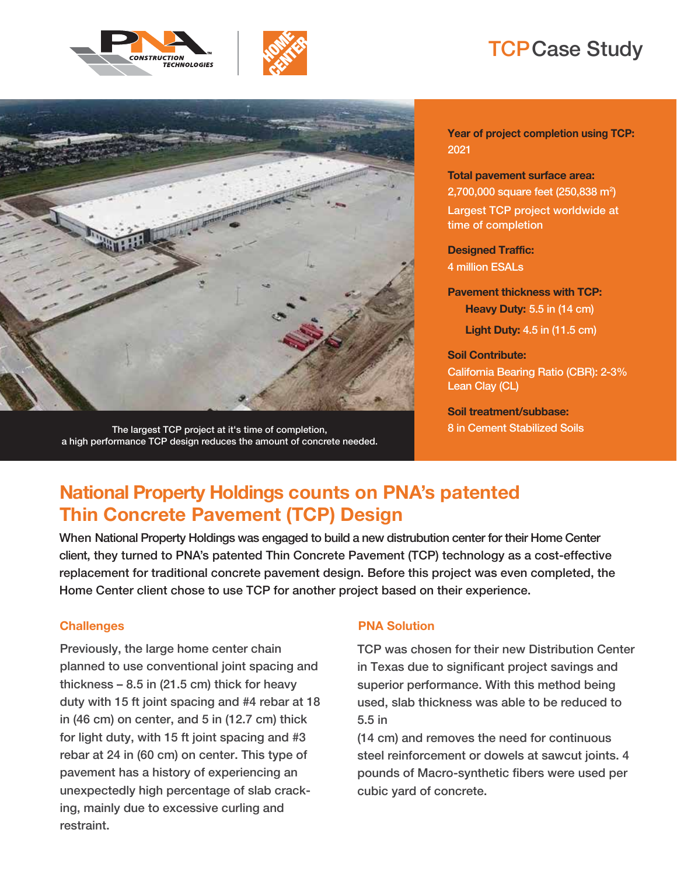



# TCP Case Study



The largest TCP project at it's time of completion, a high performance TCP design reduces the amount of concrete needed. **Year of project completion using TCP:** 2021

**Total pavement surface area:** 2,700,000 square feet (250,838 m<sup>2</sup>) Largest TCP project worldwide at time of completion

**Designed Traffic:** 4 million ESALs

**Pavement thickness with TCP: Heavy Duty:** 5.5 in (14 cm) **Light Duty:** 4.5 in (11.5 cm)

**Soil Contribute:** California Bearing Ratio (CBR): 2-3% Lean Clay (CL)

**Soil treatment/subbase:** 8 in Cement Stabilized Soils

# **National Property Holdings counts on PNA's patented Thin Concrete Pavement (TCP) Design**

When National Property Holdings was engaged to build a new distrubution center for their Home Center client, they turned to PNA's patented Thin Concrete Pavement (TCP) technology as a cost-effective replacement for traditional concrete pavement design. Before this project was even completed, the Home Center client chose to use TCP for another project based on their experience.

Previously, the large home center chain planned to use conventional joint spacing and thickness  $-8.5$  in (21.5 cm) thick for heavy duty with 15 ft joint spacing and #4 rebar at 18 in (46 cm) on center, and 5 in (12.7 cm) thick for light duty, with 15 ft joint spacing and #3 rebar at 24 in (60 cm) on center. This type of pavement has a history of experiencing an unexpectedly high percentage of slab cracking, mainly due to excessive curling and restraint.

### **Challenges PNA Solution**

TCP was chosen for their new Distribution Center in Texas due to significant project savings and superior performance. With this method being used, slab thickness was able to be reduced to 5.5 in

(14 cm) and removes the need for continuous steel reinforcement or dowels at sawcut joints. 4 pounds of Macro-synthetic fibers were used per cubic yard of concrete.